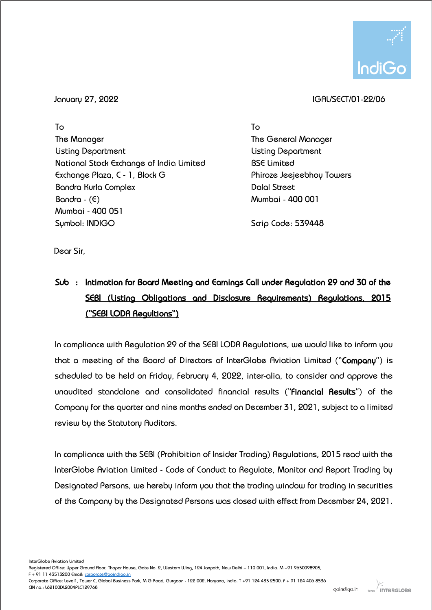

## January 27, 2022 IGAL/SECT/01-22/06

To The Manager Listing Department National Stock Exchange of India Limited Exchange Plaza, C - 1, Block G Bandra Kurla Complex  $Bandra - (E)$ Mumbai - 400 051 Symbol: INDIGO

To The General Manager Listing Department BSE Limited Phiroze Jeejeebhoy Towers Dalal Street Mumbai - 400 001

Scrip Code: 539448

Dear Sir,

## Sub : Intimation for Board Meeting and Earnings Call under Regulation 29 and 30 of the SEBI (Listing Obligations and Disclosure Requirements) Regulations, 2015 ("SEBI LODR Regultions")

In compliance with Regulation 29 of the SEBI LODR Regulations, we would like to inform you that a meeting of the Board of Directors of InterGlobe Aviation Limited ("Company") is scheduled to be held on Friday, February 4, 2022, inter-alia, to consider and approve the unaudited standalone and consolidated financial results ("Financial Results") of the Company for the quarter and nine months ended on December 31, 2021, subject to a limited review by the Statutory Auditors.

In compliance with the SEBI (Prohibition of Insider Trading) Regulations, 2015 read with the InterGlobe Aviation Limited - Code of Conduct to Regulate, Monitor and Report Trading by Designated Persons, we hereby inform you that the trading window for trading in securities of the Company by the Designated Persons was closed with effect from December 24, 2021.

InterGlobe Aviation Limited

Registered Office: Upper Ground Floor, Thapar House, Gate No. 2, Western Wing, 124 Janpath, New Delhi – 110 001, India. M +91 9650098905,

F + 91 11 43513200 Email: [corporate@goindigo.in](mailto:corporate@goindigo.in)

Corporate Office: Level1, Tower C, Global Business Park, M G Road, Gurgaon - 122 002, Haryana, India. T +91 124 435 2500. F + 91 124 406 8536 CIN no.: L62100DL2004PLC129768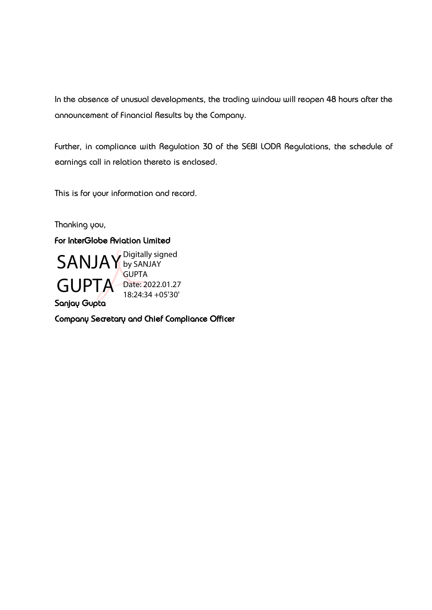In the absence of unusual developments, the trading window will reopen 48 hours after the announcement of Financial Results by the Company.

Further, in compliance with Regulation 30 of the SEBI LODR Regulations, the schedule of earnings call in relation thereto is enclosed.

This is for your information and record.

Thanking you,

## For InterGlobe Aviation Limited



Company Secretary and Chief Compliance Officer